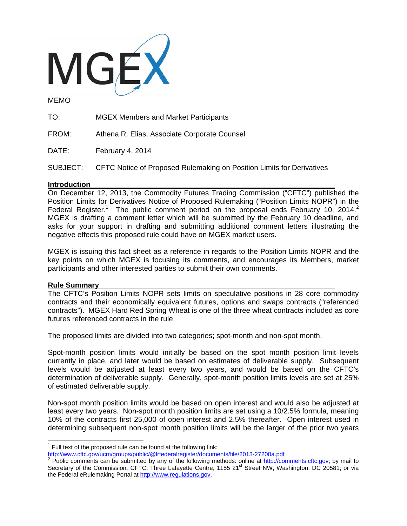

MEMO

TO: MGEX Members and Market Participants

FROM: Athena R. Elias, Associate Corporate Counsel

DATE: February 4, 2014

SUBJECT: CFTC Notice of Proposed Rulemaking on Position Limits for Derivatives

## **Introduction**

On December 12, 2013, the Commodity Futures Trading Commission ("CFTC") published the Position Limits for Derivatives Notice of Proposed Rulemaking ("Position Limits NOPR") in the Federal Register.<sup>1</sup> The public comment period on the proposal ends February 10, 2014.<sup>2</sup> MGEX is drafting a comment letter which will be submitted by the February 10 deadline, and asks for your support in drafting and submitting additional comment letters illustrating the negative effects this proposed rule could have on MGEX market users.

MGEX is issuing this fact sheet as a reference in regards to the Position Limits NOPR and the key points on which MGEX is focusing its comments, and encourages its Members, market participants and other interested parties to submit their own comments.

## **Rule Summary**

 $\overline{a}$ 

The CFTC's Position Limits NOPR sets limits on speculative positions in 28 core commodity contracts and their economically equivalent futures, options and swaps contracts ("referenced contracts"). MGEX Hard Red Spring Wheat is one of the three wheat contracts included as core futures referenced contracts in the rule.

The proposed limits are divided into two categories; spot-month and non-spot month.

Spot-month position limits would initially be based on the spot month position limit levels currently in place, and later would be based on estimates of deliverable supply. Subsequent levels would be adjusted at least every two years, and would be based on the CFTC's determination of deliverable supply. Generally, spot-month position limits levels are set at 25% of estimated deliverable supply.

Non-spot month position limits would be based on open interest and would also be adjusted at least every two years. Non-spot month position limits are set using a 10/2.5% formula, meaning 10% of the contracts first 25,000 of open interest and 2.5% thereafter. Open interest used in determining subsequent non-spot month position limits will be the larger of the prior two years

 $1$  Full text of the proposed rule can be found at the following link:

<sup>&</sup>lt;u>http://www.cftc.gov/ucm/groups/public/@Irfederalregister/documents/file/2013-27200a.pdf</u><br><sup>2</sup> Public comments can be submitted by any of the following methods: online at <u>http://comments.cftc.gov</u>; by mail to Secretary of the Commission, CFTC, Three Lafayette Centre, 1155 21<sup>st</sup> Street NW, Washington, DC 20581; or via the Federal eRulemaking Portal at http://www.regulations.gov.